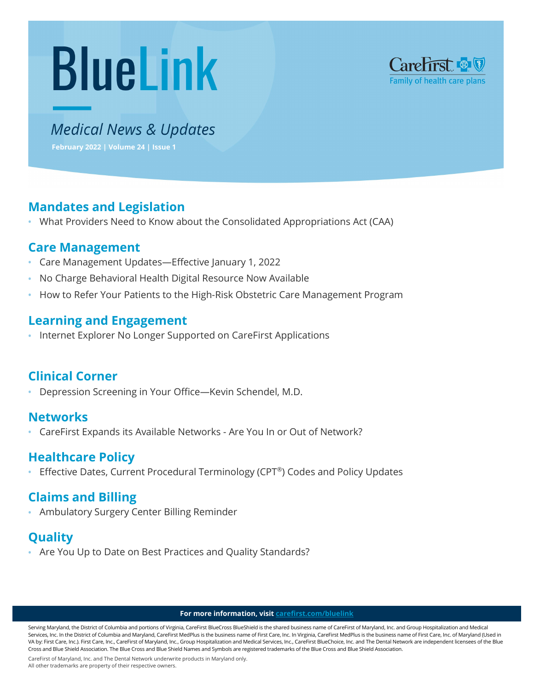# **Bluelink** Carefirst **& V**<br>Family of health care plans



# Medical News & Updates

**February 2022 | Volume 24 | Issue 1** 

# **Mandates and Legislation**

**•** What Providers Need to Know about the Consolidated Appropriations Act (CAA)

# **Care Management**

- Care Management Updates—Effective January 1, 2022
- No Charge Behavioral Health Digital Resource Now Available
- How to Refer Your Patients to the High-Risk Obstetric Care Management Program

# **Learning and Engagement**

**•** Internet Explorer No Longer Supported on CareFirst Applications

# **Clinical Corner**

**•** Depression Screening in Your Office—Kevin Schendel, M.D.

## **Networks**

**•** CareFirst Expands its Available Networks - Are You In or Out of Network?

# **Healthcare Policy**

**•** Effective Dates, Current Procedural Terminology (CPT®) Codes and Policy Updates

# **Claims and Billing**

**•** Ambulatory Surgery Center Billing Reminder

# **Quality**

**•** Are You Up to Date on Best Practices and Quality Standards?

#### **For more information, visi[t carefirst.com/bluelink](http://www.carefirst.com/bluelink)**

Serving Maryland, the District of Columbia and portions of Virginia, CareFirst BlueCross BlueShield is the shared business name of CareFirst of Maryland, Inc. and Group Hospitalization and Medical Services, Inc. In the District of Columbia and Maryland, CareFirst MedPlus is the business name of First Care, Inc. In Virginia, CareFirst MedPlus is the business name of First Care, Inc. of Maryland (Used in VA by: First Care, Inc.). First Care, Inc., CareFirst of Maryland, Inc., Group Hospitalization and Medical Services, Inc., CareFirst BlueChoice, Inc. and The Dental Network are independent licensees of the Blue Cross and Blue Shield Association. The Blue Cross and Blue Shield Names and Symbols are registered trademarks of the Blue Cross and Blue Shield Association.

CareFirst of Maryland, Inc. and The Dental Network underwrite products in Maryland only.

All other trademarks are property of their respective owners.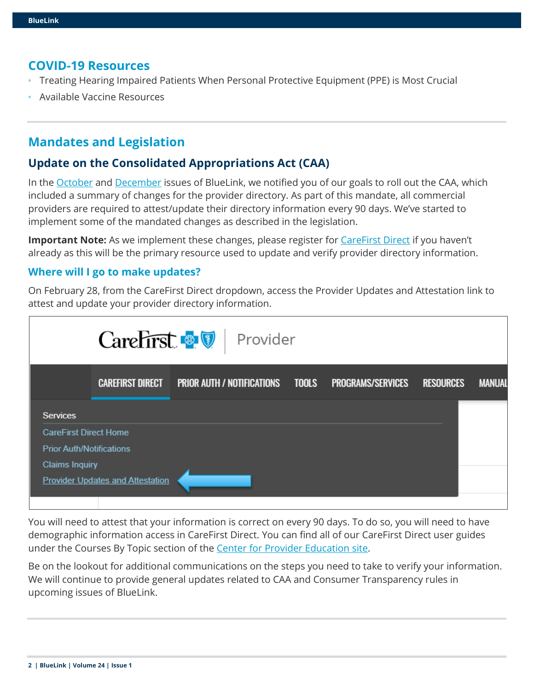#### **COVID-19 Resources**

- Treating Hearing Impaired Patients When Personal Protective Equipment (PPE) is Most Crucial
- Available Vaccine Resources

## **Mandates and Legislation**

#### **Update on the Consolidated Appropriations Act (CAA)**

In the [October](https://provider.carefirst.com/carefirst-resources/provider/newsletters/bluelink-2021-oct.pdf) and [December](https://provider.carefirst.com/carefirst-resources/provider/newsletters/bluelink-2021-dec.pdf) issues of BlueLink, we notified you of our goals to roll out the CAA, which included a summary of changes for the provider directory. As part of this mandate, all commercial providers are required to attest/update their directory information every 90 days. We've started to implement some of the mandated changes as described in the legislation.

**Important Note:** As we implement these changes, please register for *CareFirst Direct* if you haven't already as this will be the primary resource used to update and verify provider directory information.

#### **Where will I go to make updates?**

On February 28, from the CareFirst Direct dropdown, access the Provider Updates and Attestation link to attest and update your provider directory information.

|                                 |                                         | CareFirst <b>&amp; V</b> Provider       |                          |                  |               |
|---------------------------------|-----------------------------------------|-----------------------------------------|--------------------------|------------------|---------------|
|                                 | <b>CAREFIRST DIRECT</b>                 | <b>PRIOR AUTH / NOTIFICATIONS TOOLS</b> | <b>PROGRAMS/SERVICES</b> | <b>RESOURCES</b> | <b>MANUAL</b> |
| <b>Services</b>                 |                                         |                                         |                          |                  |               |
| <b>CareFirst Direct Home</b>    |                                         |                                         |                          |                  |               |
| <b>Prior Auth/Notifications</b> |                                         |                                         |                          |                  |               |
| <b>Claims Inquiry</b>           |                                         |                                         |                          |                  |               |
|                                 | <b>Provider Updates and Attestation</b> |                                         |                          |                  |               |

You will need to attest that your information is correct on every 90 days. To do so, you will need to have demographic information access in CareFirst Direct. You can find all of our CareFirst Direct user guides under the Courses By Topic section of the [Center for Provider Education](http://www.carefirst.com/providereducation) site.

Be on the lookout for additional communications on the steps you need to take to verify your information. We will continue to provide general updates related to CAA and Consumer Transparency rules in upcoming issues of BlueLink.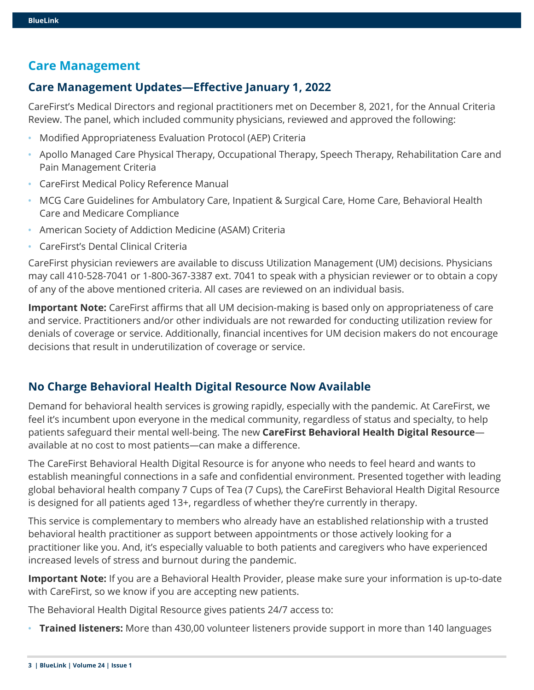# **Care Management**

## **Care Management Updates—Effective January 1, 2022**

CareFirst's Medical Directors and regional practitioners met on December 8, 2021, for the Annual Criteria Review. The panel, which included community physicians, reviewed and approved the following:

- Modified Appropriateness Evaluation Protocol (AEP) Criteria
- Apollo Managed Care Physical Therapy, Occupational Therapy, Speech Therapy, Rehabilitation Care and Pain Management Criteria
- CareFirst Medical Policy Reference Manual
- MCG Care Guidelines for Ambulatory Care, Inpatient & Surgical Care, Home Care, Behavioral Health Care and Medicare Compliance
- American Society of Addiction Medicine (ASAM) Criteria
- CareFirst's Dental Clinical Criteria

CareFirst physician reviewers are available to discuss Utilization Management (UM) decisions. Physicians may call 410-528-7041 or 1-800-367-3387 ext. 7041 to speak with a physician reviewer or to obtain a copy of any of the above mentioned criteria. All cases are reviewed on an individual basis.

**Important Note:** CareFirst affirms that all UM decision-making is based only on appropriateness of care and service. Practitioners and/or other individuals are not rewarded for conducting utilization review for denials of coverage or service. Additionally, financial incentives for UM decision makers do not encourage decisions that result in underutilization of coverage or service.

## **No Charge Behavioral Health Digital Resource Now Available**

Demand for behavioral health services is growing rapidly, especially with the pandemic. At CareFirst, we feel it's incumbent upon everyone in the medical community, regardless of status and specialty, to help patients safeguard their mental well-being. The new **CareFirst Behavioral Health Digital Resource** available at no cost to most patients—can make a difference.

The CareFirst Behavioral Health Digital Resource is for anyone who needs to feel heard and wants to establish meaningful connections in a safe and confidential environment. Presented together with leading global behavioral health company 7 Cups of Tea (7 Cups), the CareFirst Behavioral Health Digital Resource is designed for all patients aged 13+, regardless of whether they're currently in therapy.

This service is complementary to members who already have an established relationship with a trusted behavioral health practitioner as support between appointments or those actively looking for a practitioner like you. And, it's especially valuable to both patients and caregivers who have experienced increased levels of stress and burnout during the pandemic.

**Important Note:** If you are a Behavioral Health Provider, please make sure your information is up-to-date with CareFirst, so we know if you are accepting new patients.

The Behavioral Health Digital Resource gives patients 24/7 access to:

**• Trained listeners:** More than 430,00 volunteer listeners provide support in more than 140 languages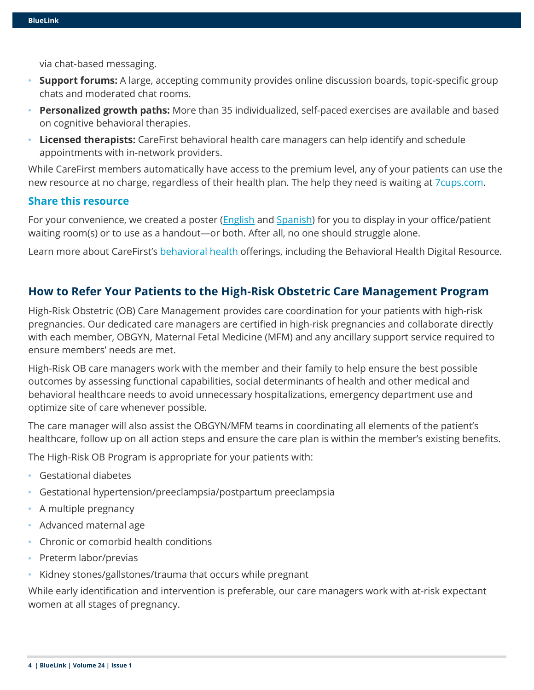via chat-based messaging.

- **Support forums:** A large, accepting community provides online discussion boards, topic-specific group chats and moderated chat rooms.
- **Personalized growth paths:** More than 35 individualized, self-paced exercises are available and based on cognitive behavioral therapies.
- **Licensed therapists:** CareFirst behavioral health care managers can help identify and schedule appointments with in-network providers.

While CareFirst members automatically have access to the premium level, any of your patients can use the new resource at no charge, regardless of their health plan. The help they need is waiting at **7**cups.com.

#### **Share this resource**

For your convenience, we created a poster [\(English](https://media.campaigner.com/media/57/573995/All-BlueLink/BlueLink2022/February/FINAL-BHDR-Provider-Office-Poster-final-508.pdf) and [Spanish\)](https://media.campaigner.com/media/57/573995/All-BlueLink/BlueLink2022/February/BHDR-Provider-Office-Poster-Spanish-final-508.pdf) for you to display in your office/patient waiting room(s) or to use as a handout—or both. After all, no one should struggle alone.

Learn more about CareFirst's [behavioral health](https://provider.carefirst.com/providers/care-management/disease-management.page#1) offerings, including the Behavioral Health Digital Resource.

#### **How to Refer Your Patients to the High-Risk Obstetric Care Management Program**

High-Risk Obstetric (OB) Care Management provides care coordination for your patients with high-risk pregnancies. Our dedicated care managers are certified in high-risk pregnancies and collaborate directly with each member, OBGYN, Maternal Fetal Medicine (MFM) and any ancillary support service required to ensure members' needs are met.

High-Risk OB care managers work with the member and their family to help ensure the best possible outcomes by assessing functional capabilities, social determinants of health and other medical and behavioral healthcare needs to avoid unnecessary hospitalizations, emergency department use and optimize site of care whenever possible.

The care manager will also assist the OBGYN/MFM teams in coordinating all elements of the patient's healthcare, follow up on all action steps and ensure the care plan is within the member's existing benefits.

The High-Risk OB Program is appropriate for your patients with:

- Gestational diabetes
- Gestational hypertension/preeclampsia/postpartum preeclampsia
- A multiple pregnancy
- Advanced maternal age
- Chronic or comorbid health conditions
- Preterm labor/previas
- Kidney stones/gallstones/trauma that occurs while pregnant

While early identification and intervention is preferable, our care managers work with at-risk expectant women at all stages of pregnancy.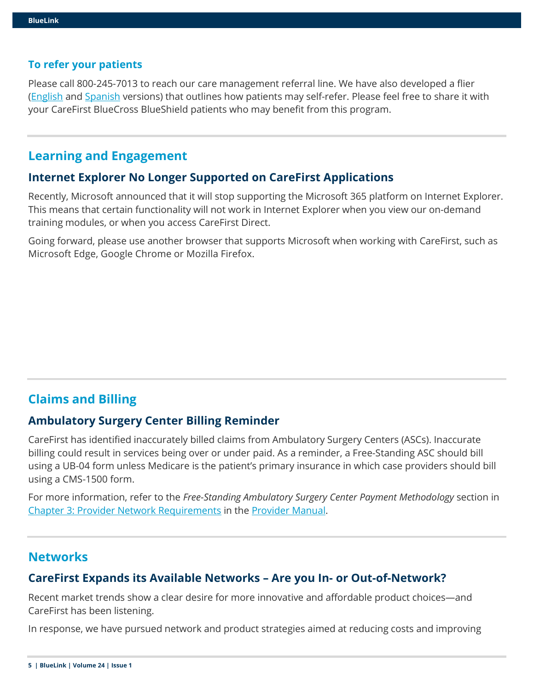#### **To refer your patients**

Please call 800-245-7013 to reach our care management referral line. We have also developed a flier [\(English](https://media.campaigner.com/media/57/573995/All-BlueLink/BlueLink2022/February/High-Risk-Pregnancy-Member-Flier-final-508.pdf) and [Spanish](https://media.campaigner.com/media/57/573995/All-BlueLink/BlueLink2022/February/High-Risk-Pregnancy-Member-Flier-Spanish-final.pdf) versions) that outlines how patients may self-refer. Please feel free to share it with your CareFirst BlueCross BlueShield patients who may benefit from this program.

## **Learning and Engagement**

#### **Internet Explorer No Longer Supported on CareFirst Applications**

Recently, Microsoft announced that it will stop supporting the Microsoft 365 platform on Internet Explorer. This means that certain functionality will not work in Internet Explorer when you view our on-demand training modules, or when you access CareFirst Direct.

Going forward, please use another browser that supports Microsoft when working with CareFirst, such as Microsoft Edge, Google Chrome or Mozilla Firefox.

# **Claims and Billing**

#### **Ambulatory Surgery Center Billing Reminder**

CareFirst has identified inaccurately billed claims from Ambulatory Surgery Centers (ASCs). Inaccurate billing could result in services being over or under paid. As a reminder, a Free-Standing ASC should bill using a UB-04 form unless Medicare is the patient's primary insurance in which case providers should bill using a CMS-1500 form.

For more information, refer to the *Free-Standing Ambulatory Surgery Center Payment Methodology* section in [Chapter 3: Provider Network Requirements](https://provider.carefirst.com/carefirst-resources/provider/pdf/provider-manual-chapter-3-administrative-functions.pdf) in the [Provider Manual.](https://provider.carefirst.com/carefirst-resources/provider/pdf/medical-provider-manual.pdf)

## **Networks**

## **CareFirst Expands its Available Networks – Are you In- or Out-of-Network?**

Recent market trends show a clear desire for more innovative and affordable product choices—and CareFirst has been listening.

In response, we have pursued network and product strategies aimed at reducing costs and improving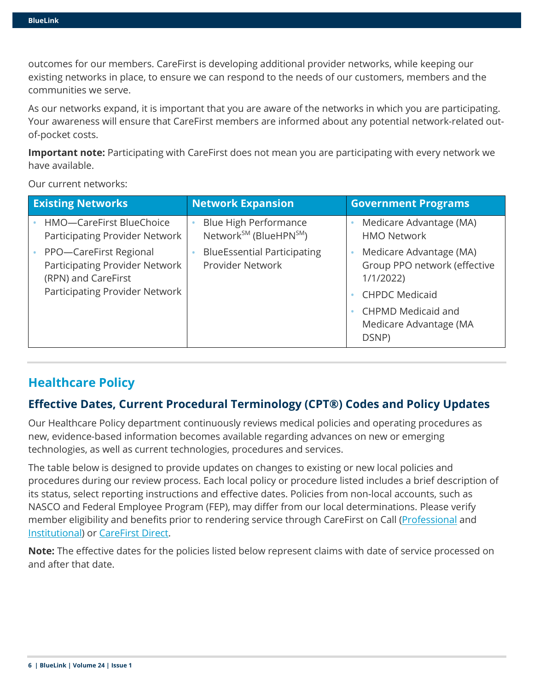outcomes for our members. CareFirst is developing additional provider networks, while keeping our existing networks in place, to ensure we can respond to the needs of our customers, members and the communities we serve.

As our networks expand, it is important that you are aware of the networks in which you are participating. Your awareness will ensure that CareFirst members are informed about any potential network-related outof-pocket costs.

**Important note:** Participating with CareFirst does not mean you are participating with every network we have available.

Our current networks:

| <b>Existing Networks</b>                                                        | <b>Network Expansion</b>                                                | <b>Government Programs</b>                                          |
|---------------------------------------------------------------------------------|-------------------------------------------------------------------------|---------------------------------------------------------------------|
| HMO-CareFirst BlueChoice<br>Participating Provider Network                      | Blue High Performance<br>Network <sup>SM</sup> (BlueHPN <sup>SM</sup> ) | Medicare Advantage (MA)<br><b>HMO Network</b>                       |
| PPO-CareFirst Regional<br>Participating Provider Network<br>(RPN) and CareFirst | <b>BlueEssential Participating</b><br>Provider Network                  | Medicare Advantage (MA)<br>Group PPO network (effective<br>1/1/2022 |
| Participating Provider Network                                                  |                                                                         | <b>CHPDC Medicaid</b>                                               |
|                                                                                 |                                                                         | <b>CHPMD Medicaid and</b><br>Medicare Advantage (MA<br>DSNP)        |

# **Healthcare Policy**

# **Effective Dates, Current Procedural Terminology (CPT®) Codes and Policy Updates**

Our Healthcare Policy department continuously reviews medical policies and operating procedures as new, evidence-based information becomes available regarding advances on new or emerging technologies, as well as current technologies, procedures and services.

The table below is designed to provide updates on changes to existing or new local policies and procedures during our review process. Each local policy or procedure listed includes a brief description of its status, select reporting instructions and effective dates. Policies from non-local accounts, such as NASCO and Federal Employee Program (FEP), may differ from our local determinations. Please verify member eligibility and benefits prior to rendering service through CareFirst on Call [\(Professional](https://provider.carefirst.com/carefirst-resources/provider/pdf/carefirst-on-call-reference-card-professional-pcm1034.pdf) and [Institutional\)](https://provider.carefirst.com/carefirst-resources/provider/pdf/carefirst-on-call-reference-card-institutional-pcm1035.pdf) or [CareFirst Direct.](http://www.carefirst.com/carefirstdirect)

**Note:** The effective dates for the policies listed below represent claims with date of service processed on and after that date.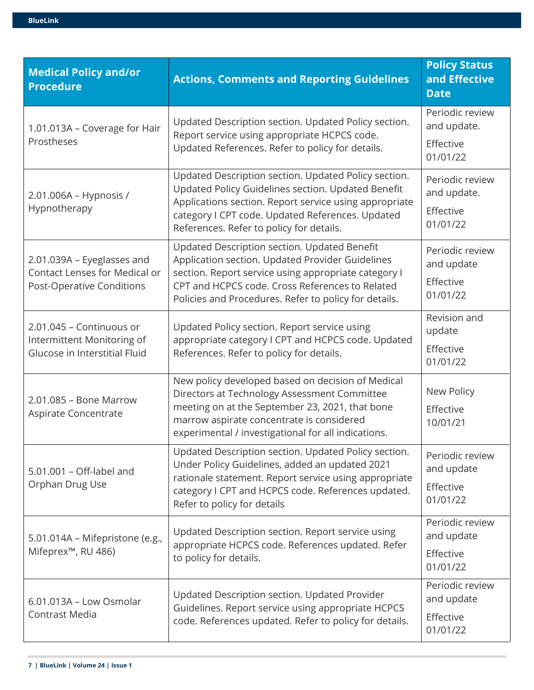| <b>Medical Policy and/or</b><br><b>Procedure</b>                                                       | <b>Actions, Comments and Reporting Guidelines</b>                                                                                                                                                                                                                    | <b>Policy Status</b><br>and Effective<br><b>Date</b>    |
|--------------------------------------------------------------------------------------------------------|----------------------------------------------------------------------------------------------------------------------------------------------------------------------------------------------------------------------------------------------------------------------|---------------------------------------------------------|
| 1.01.013A - Coverage for Hair                                                                          | Updated Description section. Updated Policy section.                                                                                                                                                                                                                 | Periodic review<br>and update.                          |
| Prostheses                                                                                             | Report service using appropriate HCPCS code.<br>Updated References. Refer to policy for details.                                                                                                                                                                     | Effective<br>01/01/22                                   |
| 2.01.006A - Hypnosis /<br>Hypnotherapy                                                                 | Updated Description section. Updated Policy section.<br>Updated Policy Guidelines section. Updated Benefit<br>Applications section. Report service using appropriate<br>category I CPT code. Updated References. Updated<br>References. Refer to policy for details. | Periodic review<br>and update.<br>Effective<br>01/01/22 |
| 2.01.039A - Eyeglasses and<br><b>Contact Lenses for Medical or</b><br><b>Post-Operative Conditions</b> | Updated Description section. Updated Benefit<br>Application section. Updated Provider Guidelines<br>section. Report service using appropriate category I<br>CPT and HCPCS code. Cross References to Related<br>Policies and Procedures. Refer to policy for details. | Periodic review<br>and update<br>Effective<br>01/01/22  |
| 2.01.045 - Continuous or<br>Intermittent Monitoring of<br>Glucose in Interstitial Fluid                | Updated Policy section. Report service using<br>appropriate category I CPT and HCPCS code. Updated<br>References. Refer to policy for details.                                                                                                                       | Revision and<br>update<br>Effective<br>01/01/22         |
| 2.01.085 - Bone Marrow<br>Aspirate Concentrate                                                         | New policy developed based on decision of Medical<br>Directors at Technology Assessment Committee<br>meeting on at the September 23, 2021, that bone<br>marrow aspirate concentrate is considered<br>experimental / investigational for all indications.             | New Policy<br>Effective<br>10/01/21                     |
| 5.01.001 - Off-label and<br>Orphan Drug Use                                                            | Updated Description section. Updated Policy section.<br>Under Policy Guidelines, added an updated 2021<br>rationale statement. Report service using appropriate<br>category I CPT and HCPCS code. References updated.<br>Refer to policy for details                 | Periodic review<br>and update<br>Effective<br>01/01/22  |
| 5.01.014A - Mifepristone (e.g.,<br>Mifeprex <sup>™</sup> , RU 486)                                     | Updated Description section. Report service using<br>appropriate HCPCS code. References updated. Refer<br>to policy for details.                                                                                                                                     | Periodic review<br>and update<br>Effective<br>01/01/22  |
| 6.01.013A - Low Osmolar<br><b>Contrast Media</b>                                                       | Updated Description section. Updated Provider<br>Guidelines. Report service using appropriate HCPCS<br>code. References updated. Refer to policy for details.                                                                                                        | Periodic review<br>and update<br>Effective<br>01/01/22  |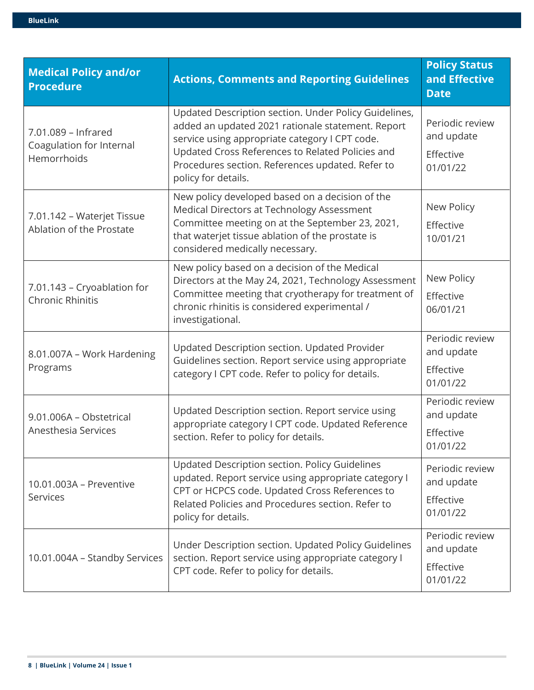| <b>BlueLink</b> |  |
|-----------------|--|
|                 |  |

| <b>Medical Policy and/or</b><br><b>Procedure</b>               | <b>Actions, Comments and Reporting Guidelines</b>                                                                                                                                                                                                                                           | <b>Policy Status</b><br>and Effective<br><b>Date</b>   |
|----------------------------------------------------------------|---------------------------------------------------------------------------------------------------------------------------------------------------------------------------------------------------------------------------------------------------------------------------------------------|--------------------------------------------------------|
| 7.01.089 - Infrared<br>Coagulation for Internal<br>Hemorrhoids | Updated Description section. Under Policy Guidelines,<br>added an updated 2021 rationale statement. Report<br>service using appropriate category I CPT code.<br>Updated Cross References to Related Policies and<br>Procedures section. References updated. Refer to<br>policy for details. | Periodic review<br>and update<br>Effective<br>01/01/22 |
| 7.01.142 - Waterjet Tissue<br>Ablation of the Prostate         | New policy developed based on a decision of the<br>Medical Directors at Technology Assessment<br>Committee meeting on at the September 23, 2021,<br>that waterjet tissue ablation of the prostate is<br>considered medically necessary.                                                     | New Policy<br>Effective<br>10/01/21                    |
| 7.01.143 - Cryoablation for<br><b>Chronic Rhinitis</b>         | New policy based on a decision of the Medical<br>Directors at the May 24, 2021, Technology Assessment<br>Committee meeting that cryotherapy for treatment of<br>chronic rhinitis is considered experimental /<br>investigational.                                                           | New Policy<br>Effective<br>06/01/21                    |
| 8.01.007A - Work Hardening<br>Programs                         | Updated Description section. Updated Provider<br>Guidelines section. Report service using appropriate<br>category I CPT code. Refer to policy for details.                                                                                                                                  | Periodic review<br>and update<br>Effective<br>01/01/22 |
| 9.01.006A - Obstetrical<br>Anesthesia Services                 | Updated Description section. Report service using<br>appropriate category I CPT code. Updated Reference<br>section. Refer to policy for details.                                                                                                                                            | Periodic review<br>and update<br>Effective<br>01/01/22 |
| 10.01.003A - Preventive<br><b>Services</b>                     | Updated Description section. Policy Guidelines<br>updated. Report service using appropriate category I<br>CPT or HCPCS code. Updated Cross References to<br>Related Policies and Procedures section. Refer to<br>policy for details.                                                        | Periodic review<br>and update<br>Effective<br>01/01/22 |
| 10.01.004A - Standby Services                                  | Under Description section. Updated Policy Guidelines<br>section. Report service using appropriate category I<br>CPT code. Refer to policy for details.                                                                                                                                      | Periodic review<br>and update<br>Effective<br>01/01/22 |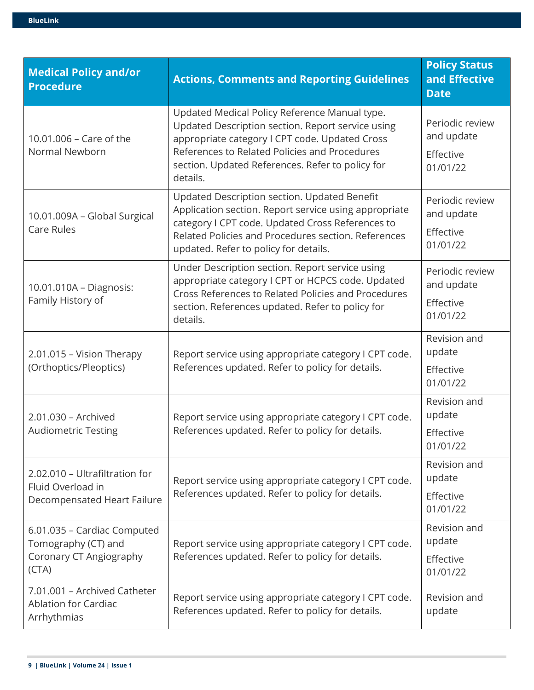| <b>Medical Policy and/or</b><br><b>Procedure</b>                                       | <b>Actions, Comments and Reporting Guidelines</b>                                                                                                                                                                                                                     | <b>Policy Status</b><br>and Effective<br><b>Date</b>   |
|----------------------------------------------------------------------------------------|-----------------------------------------------------------------------------------------------------------------------------------------------------------------------------------------------------------------------------------------------------------------------|--------------------------------------------------------|
| 10.01.006 - Care of the<br>Normal Newborn                                              | Updated Medical Policy Reference Manual type.<br>Updated Description section. Report service using<br>appropriate category I CPT code. Updated Cross<br>References to Related Policies and Procedures<br>section. Updated References. Refer to policy for<br>details. | Periodic review<br>and update<br>Effective<br>01/01/22 |
| 10.01.009A - Global Surgical<br><b>Care Rules</b>                                      | Updated Description section. Updated Benefit<br>Application section. Report service using appropriate<br>category I CPT code. Updated Cross References to<br>Related Policies and Procedures section. References<br>updated. Refer to policy for details.             | Periodic review<br>and update<br>Effective<br>01/01/22 |
| 10.01.010A - Diagnosis:<br>Family History of                                           | Under Description section. Report service using<br>appropriate category I CPT or HCPCS code. Updated<br>Cross References to Related Policies and Procedures<br>section. References updated. Refer to policy for<br>details.                                           | Periodic review<br>and update<br>Effective<br>01/01/22 |
| 2.01.015 - Vision Therapy<br>(Orthoptics/Pleoptics)                                    | Report service using appropriate category I CPT code.<br>References updated. Refer to policy for details.                                                                                                                                                             | Revision and<br>update<br>Effective<br>01/01/22        |
| 2.01.030 - Archived<br><b>Audiometric Testing</b>                                      | Report service using appropriate category I CPT code.<br>References updated. Refer to policy for details.                                                                                                                                                             | Revision and<br>update<br>Effective<br>01/01/22        |
| 2.02.010 - Ultrafiltration for<br>Fluid Overload in<br>Decompensated Heart Failure     | Report service using appropriate category I CPT code.<br>References updated. Refer to policy for details.                                                                                                                                                             | Revision and<br>update<br>Effective<br>01/01/22        |
| 6.01.035 - Cardiac Computed<br>Tomography (CT) and<br>Coronary CT Angiography<br>(CTA) | Report service using appropriate category I CPT code.<br>References updated. Refer to policy for details.                                                                                                                                                             | Revision and<br>update<br>Effective<br>01/01/22        |
| 7.01.001 - Archived Catheter<br><b>Ablation for Cardiac</b><br>Arrhythmias             | Report service using appropriate category I CPT code.<br>References updated. Refer to policy for details.                                                                                                                                                             | Revision and<br>update                                 |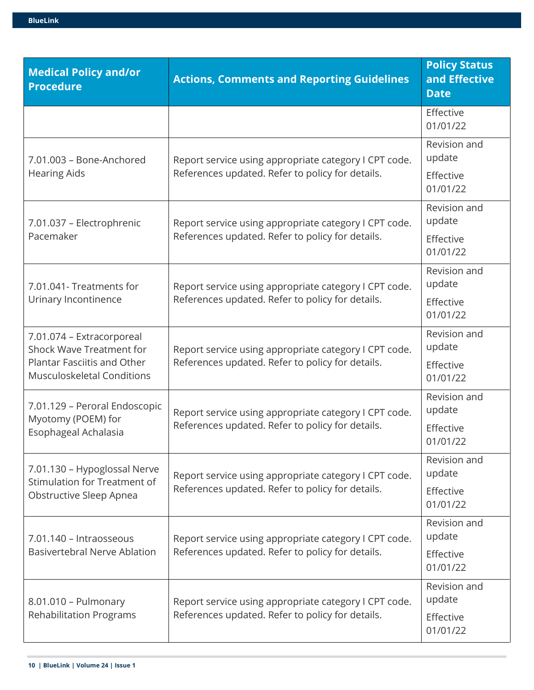| <b>Medical Policy and/or</b><br><b>Procedure</b>                 | <b>Actions, Comments and Reporting Guidelines</b>     | <b>Policy Status</b><br>and Effective<br><b>Date</b> |
|------------------------------------------------------------------|-------------------------------------------------------|------------------------------------------------------|
|                                                                  |                                                       | Effective<br>01/01/22                                |
| 7.01.003 - Bone-Anchored                                         | Report service using appropriate category I CPT code. | Revision and<br>update                               |
| <b>Hearing Aids</b>                                              | References updated. Refer to policy for details.      | Effective<br>01/01/22                                |
| 7.01.037 - Electrophrenic                                        | Report service using appropriate category I CPT code. | Revision and<br>update                               |
| Pacemaker                                                        | References updated. Refer to policy for details.      | Effective<br>01/01/22                                |
| 7.01.041- Treatments for                                         | Report service using appropriate category I CPT code. | Revision and<br>update                               |
| Urinary Incontinence                                             | References updated. Refer to policy for details.      | Effective<br>01/01/22                                |
| 7.01.074 - Extracorporeal<br>Shock Wave Treatment for            | Report service using appropriate category I CPT code. | Revision and<br>update                               |
| Plantar Fasciitis and Other<br><b>Musculoskeletal Conditions</b> | References updated. Refer to policy for details.      | Effective<br>01/01/22                                |
| 7.01.129 - Peroral Endoscopic<br>Myotomy (POEM) for              | Report service using appropriate category I CPT code. | Revision and<br>update                               |
| Esophageal Achalasia                                             | References updated. Refer to policy for details.      | Effective<br>01/01/22                                |
| 7.01.130 - Hypoglossal Nerve<br>Stimulation for Treatment of     | Report service using appropriate category I CPT code. | Revision and<br>update                               |
| Obstructive Sleep Apnea                                          | References updated. Refer to policy for details.      | Effective<br>01/01/22                                |
| 7.01.140 - Intraosseous                                          | Report service using appropriate category I CPT code. | Revision and<br>update                               |
| <b>Basivertebral Nerve Ablation</b>                              | References updated. Refer to policy for details.      | Effective<br>01/01/22                                |
| 8.01.010 - Pulmonary                                             | Report service using appropriate category I CPT code. | Revision and<br>update                               |
| <b>Rehabilitation Programs</b>                                   | References updated. Refer to policy for details.      | Effective<br>01/01/22                                |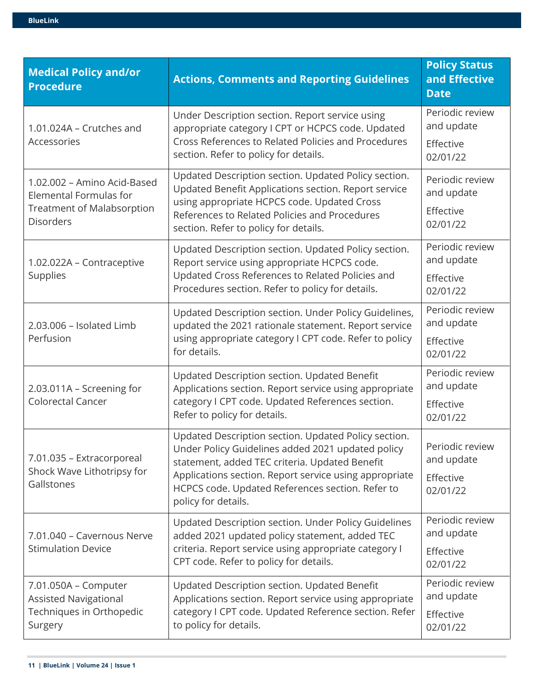| <b>Medical Policy and/or</b><br><b>Procedure</b>                                                                      | <b>Actions, Comments and Reporting Guidelines</b>                                                                                                                                                                                                                                                | <b>Policy Status</b><br>and Effective<br><b>Date</b>   |
|-----------------------------------------------------------------------------------------------------------------------|--------------------------------------------------------------------------------------------------------------------------------------------------------------------------------------------------------------------------------------------------------------------------------------------------|--------------------------------------------------------|
| 1.01.024A - Crutches and<br>Accessories                                                                               | Under Description section. Report service using<br>appropriate category I CPT or HCPCS code. Updated<br>Cross References to Related Policies and Procedures<br>section. Refer to policy for details.                                                                                             | Periodic review<br>and update<br>Effective<br>02/01/22 |
| 1.02.002 - Amino Acid-Based<br><b>Elemental Formulas for</b><br><b>Treatment of Malabsorption</b><br><b>Disorders</b> | Updated Description section. Updated Policy section.<br>Updated Benefit Applications section. Report service<br>using appropriate HCPCS code. Updated Cross<br>References to Related Policies and Procedures<br>section. Refer to policy for details.                                            | Periodic review<br>and update<br>Effective<br>02/01/22 |
| 1.02.022A - Contraceptive<br><b>Supplies</b>                                                                          | Updated Description section. Updated Policy section.<br>Report service using appropriate HCPCS code.<br>Updated Cross References to Related Policies and<br>Procedures section. Refer to policy for details.                                                                                     | Periodic review<br>and update<br>Effective<br>02/01/22 |
| 2.03.006 - Isolated Limb<br>Perfusion                                                                                 | Updated Description section. Under Policy Guidelines,<br>updated the 2021 rationale statement. Report service<br>using appropriate category I CPT code. Refer to policy<br>for details.                                                                                                          | Periodic review<br>and update<br>Effective<br>02/01/22 |
| 2.03.011A - Screening for<br><b>Colorectal Cancer</b>                                                                 | Updated Description section. Updated Benefit<br>Applications section. Report service using appropriate<br>category I CPT code. Updated References section.<br>Refer to policy for details.                                                                                                       | Periodic review<br>and update<br>Effective<br>02/01/22 |
| 7.01.035 - Extracorporeal<br>Shock Wave Lithotripsy for<br>Gallstones                                                 | Updated Description section. Updated Policy section.<br>Under Policy Guidelines added 2021 updated policy<br>statement, added TEC criteria. Updated Benefit<br>Applications section. Report service using appropriate<br>HCPCS code. Updated References section. Refer to<br>policy for details. | Periodic review<br>and update<br>Effective<br>02/01/22 |
| 7.01.040 - Cavernous Nerve<br><b>Stimulation Device</b>                                                               | Updated Description section. Under Policy Guidelines<br>added 2021 updated policy statement, added TEC<br>criteria. Report service using appropriate category I<br>CPT code. Refer to policy for details.                                                                                        | Periodic review<br>and update<br>Effective<br>02/01/22 |
| 7.01.050A - Computer<br><b>Assisted Navigational</b><br>Techniques in Orthopedic<br>Surgery                           | Updated Description section. Updated Benefit<br>Applications section. Report service using appropriate<br>category I CPT code. Updated Reference section. Refer<br>to policy for details.                                                                                                        | Periodic review<br>and update<br>Effective<br>02/01/22 |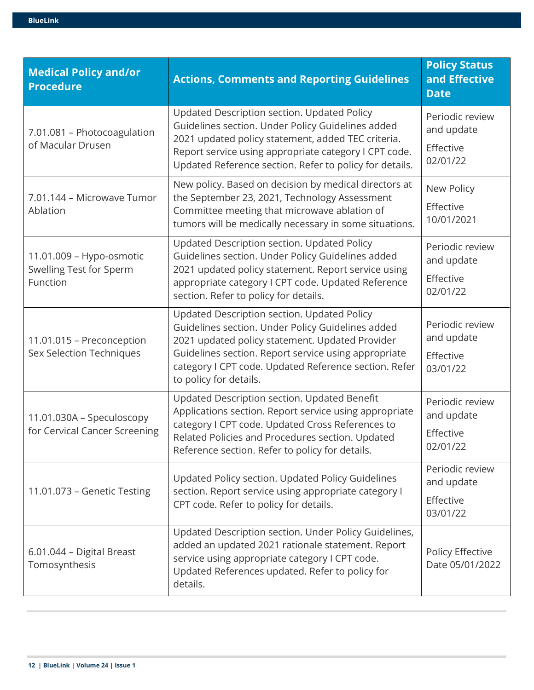| <b>Medical Policy and/or</b><br><b>Procedure</b>                | <b>Actions, Comments and Reporting Guidelines</b>                                                                                                                                                                                                                                              | <b>Policy Status</b><br>and Effective<br><b>Date</b>   |
|-----------------------------------------------------------------|------------------------------------------------------------------------------------------------------------------------------------------------------------------------------------------------------------------------------------------------------------------------------------------------|--------------------------------------------------------|
| 7.01.081 - Photocoagulation<br>of Macular Drusen                | Updated Description section. Updated Policy<br>Guidelines section. Under Policy Guidelines added<br>2021 updated policy statement, added TEC criteria.<br>Report service using appropriate category I CPT code.<br>Updated Reference section. Refer to policy for details.                     | Periodic review<br>and update<br>Effective<br>02/01/22 |
| 7.01.144 - Microwave Tumor<br>Ablation                          | New policy. Based on decision by medical directors at<br>the September 23, 2021, Technology Assessment<br>Committee meeting that microwave ablation of<br>tumors will be medically necessary in some situations.                                                                               | New Policy<br>Effective<br>10/01/2021                  |
| 11.01.009 - Hypo-osmotic<br>Swelling Test for Sperm<br>Function | Updated Description section. Updated Policy<br>Guidelines section. Under Policy Guidelines added<br>2021 updated policy statement. Report service using<br>appropriate category I CPT code. Updated Reference<br>section. Refer to policy for details.                                         | Periodic review<br>and update<br>Effective<br>02/01/22 |
| 11.01.015 - Preconception<br>Sex Selection Techniques           | Updated Description section. Updated Policy<br>Guidelines section. Under Policy Guidelines added<br>2021 updated policy statement. Updated Provider<br>Guidelines section. Report service using appropriate<br>category I CPT code. Updated Reference section. Refer<br>to policy for details. | Periodic review<br>and update<br>Effective<br>03/01/22 |
| 11.01.030A - Speculoscopy<br>for Cervical Cancer Screening      | Updated Description section. Updated Benefit<br>Applications section. Report service using appropriate<br>category I CPT code. Updated Cross References to<br>Related Policies and Procedures section. Updated<br>Reference section. Refer to policy for details.                              | Periodic review<br>and update<br>Effective<br>02/01/22 |
| 11.01.073 - Genetic Testing                                     | Updated Policy section. Updated Policy Guidelines<br>section. Report service using appropriate category I<br>CPT code. Refer to policy for details.                                                                                                                                            | Periodic review<br>and update<br>Effective<br>03/01/22 |
| 6.01.044 - Digital Breast<br>Tomosynthesis                      | Updated Description section. Under Policy Guidelines,<br>added an updated 2021 rationale statement. Report<br>service using appropriate category I CPT code.<br>Updated References updated. Refer to policy for<br>details.                                                                    | Policy Effective<br>Date 05/01/2022                    |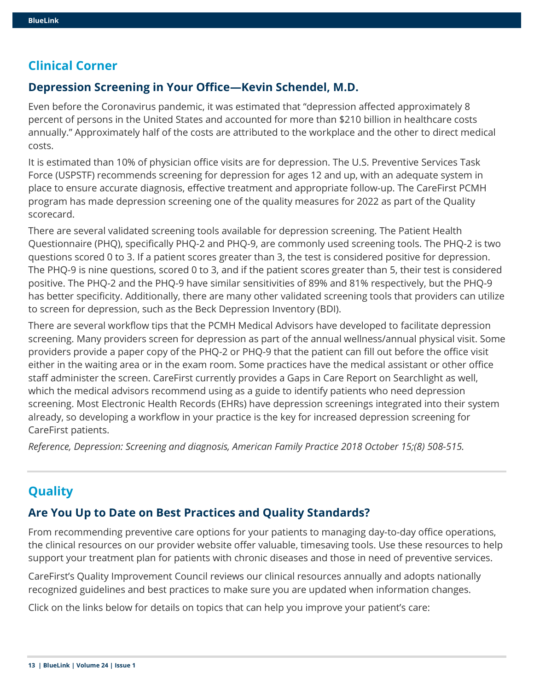# **Clinical Corner**

## **Depression Screening in Your Office—Kevin Schendel, M.D.**

Even before the Coronavirus pandemic, it was estimated that "depression affected approximately 8 percent of persons in the United States and accounted for more than \$210 billion in healthcare costs annually." Approximately half of the costs are attributed to the workplace and the other to direct medical costs.

It is estimated than 10% of physician office visits are for depression. The U.S. Preventive Services Task Force (USPSTF) recommends screening for depression for ages 12 and up, with an adequate system in place to ensure accurate diagnosis, effective treatment and appropriate follow-up. The CareFirst PCMH program has made depression screening one of the quality measures for 2022 as part of the Quality scorecard.

There are several validated screening tools available for depression screening. The Patient Health Questionnaire (PHQ), specifically PHQ-2 and PHQ-9, are commonly used screening tools. The PHQ-2 is two questions scored 0 to 3. If a patient scores greater than 3, the test is considered positive for depression. The PHQ-9 is nine questions, scored 0 to 3, and if the patient scores greater than 5, their test is considered positive. The PHQ-2 and the PHQ-9 have similar sensitivities of 89% and 81% respectively, but the PHQ-9 has better specificity. Additionally, there are many other validated screening tools that providers can utilize to screen for depression, such as the Beck Depression Inventory (BDI).

There are several workflow tips that the PCMH Medical Advisors have developed to facilitate depression screening. Many providers screen for depression as part of the annual wellness/annual physical visit. Some providers provide a paper copy of the PHQ-2 or PHQ-9 that the patient can fill out before the office visit either in the waiting area or in the exam room. Some practices have the medical assistant or other office staff administer the screen. CareFirst currently provides a Gaps in Care Report on Searchlight as well, which the medical advisors recommend using as a guide to identify patients who need depression screening. Most Electronic Health Records (EHRs) have depression screenings integrated into their system already, so developing a workflow in your practice is the key for increased depression screening for CareFirst patients.

*Reference, Depression: Screening and diagnosis, American Family Practice 2018 October 15;(8) 508-515.* 

# **Quality**

## **Are You Up to Date on Best Practices and Quality Standards?**

From recommending preventive care options for your patients to managing day-to-day office operations, the clinical resources on our provider website offer valuable, timesaving tools. Use these resources to help support your treatment plan for patients with chronic diseases and those in need of preventive services.

CareFirst's Quality Improvement Council reviews our clinical resources annually and adopts nationally recognized guidelines and best practices to make sure you are updated when information changes.

Click on the links below for details on topics that can help you improve your patient's care: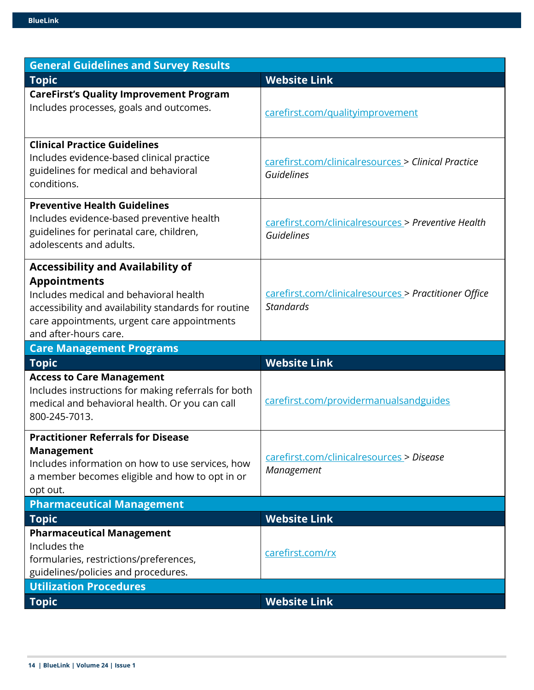| <b>General Guidelines and Survey Results</b>                                                                                                                                                                                              |                                                                           |
|-------------------------------------------------------------------------------------------------------------------------------------------------------------------------------------------------------------------------------------------|---------------------------------------------------------------------------|
| <b>Topic</b>                                                                                                                                                                                                                              | <b>Website Link</b>                                                       |
| <b>CareFirst's Quality Improvement Program</b><br>Includes processes, goals and outcomes.                                                                                                                                                 | carefirst.com/qualityimprovement                                          |
| <b>Clinical Practice Guidelines</b><br>Includes evidence-based clinical practice<br>guidelines for medical and behavioral<br>conditions.                                                                                                  | carefirst.com/clinicalresources > Clinical Practice<br>Guidelines         |
| <b>Preventive Health Guidelines</b><br>Includes evidence-based preventive health<br>guidelines for perinatal care, children,<br>adolescents and adults.                                                                                   | carefirst.com/clinicalresources > Preventive Health<br>Guidelines         |
| <b>Accessibility and Availability of</b><br><b>Appointments</b><br>Includes medical and behavioral health<br>accessibility and availability standards for routine<br>care appointments, urgent care appointments<br>and after-hours care. | carefirst.com/clinicalresources > Practitioner Office<br><b>Standards</b> |
| <b>Care Management Programs</b>                                                                                                                                                                                                           |                                                                           |
| <b>Topic</b>                                                                                                                                                                                                                              | <b>Website Link</b>                                                       |
| <b>Access to Care Management</b><br>Includes instructions for making referrals for both<br>medical and behavioral health. Or you can call<br>800-245-7013.                                                                                | carefirst.com/providermanualsandguides                                    |
| <b>Practitioner Referrals for Disease</b><br><b>Management</b><br>Includes information on how to use services, how<br>a member becomes eligible and how to opt in or<br>opt out.                                                          | carefirst.com/clinicalresources > Disease<br>Management                   |
| <b>Pharmaceutical Management</b>                                                                                                                                                                                                          |                                                                           |
| <b>Topic</b>                                                                                                                                                                                                                              | <b>Website Link</b>                                                       |
| <b>Pharmaceutical Management</b><br>Includes the<br>formularies, restrictions/preferences,<br>guidelines/policies and procedures.                                                                                                         | carefirst.com/rx                                                          |
| <b>Utilization Procedures</b>                                                                                                                                                                                                             |                                                                           |
| <b>Topic</b>                                                                                                                                                                                                                              | <b>Website Link</b>                                                       |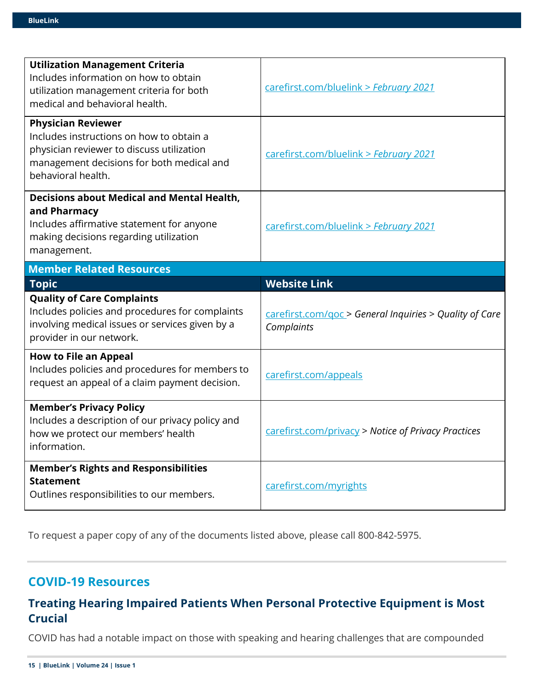| <b>Utilization Management Criteria</b><br>Includes information on how to obtain<br>utilization management criteria for both<br>medical and behavioral health.                         | carefirst.com/bluelink > February 2021                                |
|---------------------------------------------------------------------------------------------------------------------------------------------------------------------------------------|-----------------------------------------------------------------------|
| <b>Physician Reviewer</b><br>Includes instructions on how to obtain a<br>physician reviewer to discuss utilization<br>management decisions for both medical and<br>behavioral health. | carefirst.com/bluelink > February 2021                                |
| <b>Decisions about Medical and Mental Health,</b><br>and Pharmacy<br>Includes affirmative statement for anyone<br>making decisions regarding utilization<br>management.               | carefirst.com/bluelink > February 2021                                |
| <b>Member Related Resources</b>                                                                                                                                                       |                                                                       |
| <b>Topic</b>                                                                                                                                                                          | <b>Website Link</b>                                                   |
|                                                                                                                                                                                       |                                                                       |
| <b>Quality of Care Complaints</b><br>Includes policies and procedures for complaints<br>involving medical issues or services given by a<br>provider in our network.                   | carefirst.com/goc > General Inquiries > Quality of Care<br>Complaints |
| <b>How to File an Appeal</b><br>Includes policies and procedures for members to<br>request an appeal of a claim payment decision.                                                     | carefirst.com/appeals                                                 |
| <b>Member's Privacy Policy</b><br>Includes a description of our privacy policy and<br>how we protect our members' health<br>information.                                              | carefirst.com/privacy > Notice of Privacy Practices                   |

To request a paper copy of any of the documents listed above, please call 800-842-5975.

# **COVID-19 Resources**

# **Treating Hearing Impaired Patients When Personal Protective Equipment is Most Crucial**

COVID has had a notable impact on those with speaking and hearing challenges that are compounded